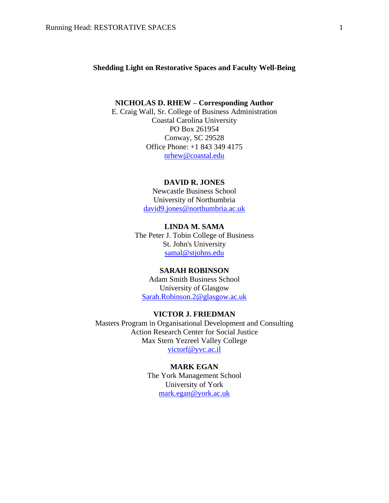## **Shedding Light on Restorative Spaces and Faculty Well-Being**

#### **NICHOLAS D. RHEW – Corresponding Author**

E. Craig Wall, Sr. College of Business Administration Coastal Carolina University PO Box 261954 Conway, SC 29528 Office Phone: +1 843 349 4175 [nrhew@coastal.edu](mailto:nrhew@coastal.edu)

# **DAVID R. JONES**

Newcastle Business School University of Northumbria [david9.jones@northumbria.ac.uk](mailto:david9.jones@northumbria.ac.uk)

**LINDA M. SAMA** The Peter J. Tobin College of Business St. John's University [samal@stjohns.edu](mailto:samal@stjohns.edu)

# **SARAH ROBINSON**

Adam Smith Business School University of Glasgow [Sarah.Robinson.2@glasgow.ac.uk](mailto:Sarah.Robinson.2@glasgow.ac.uk)

## **VICTOR J. FRIEDMAN**

Masters Program in Organisational Development and Consulting Action Research Center for Social Justice Max Stern Yezreel Valley College [victorf@yvc.ac.il](mailto:victorf@yvc.ac.il)

# **MARK EGAN**

The York Management School University of York [mark.egan@york.ac.uk](mailto:mark.egan@york.ac.uk)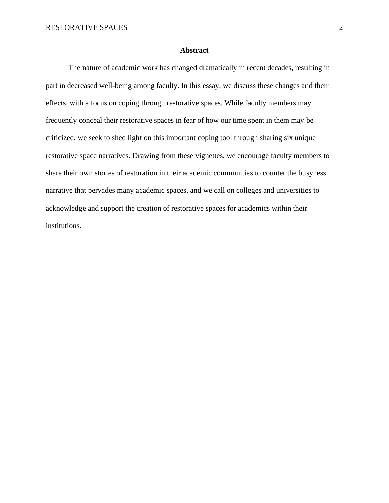## **Abstract**

The nature of academic work has changed dramatically in recent decades, resulting in part in decreased well-being among faculty. In this essay, we discuss these changes and their effects, with a focus on coping through restorative spaces. While faculty members may frequently conceal their restorative spaces in fear of how our time spent in them may be criticized, we seek to shed light on this important coping tool through sharing six unique restorative space narratives. Drawing from these vignettes, we encourage faculty members to share their own stories of restoration in their academic communities to counter the busyness narrative that pervades many academic spaces, and we call on colleges and universities to acknowledge and support the creation of restorative spaces for academics within their institutions.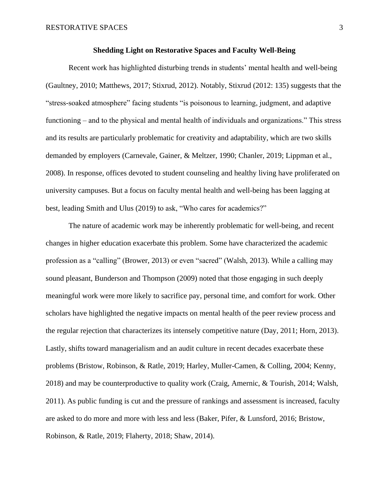## **Shedding Light on Restorative Spaces and Faculty Well-Being**

Recent work has highlighted disturbing trends in students' mental health and well-being (Gaultney, 2010; Matthews, 2017; Stixrud, 2012). Notably, Stixrud (2012: 135) suggests that the "stress-soaked atmosphere" facing students "is poisonous to learning, judgment, and adaptive functioning – and to the physical and mental health of individuals and organizations." This stress and its results are particularly problematic for creativity and adaptability, which are two skills demanded by employers (Carnevale, Gainer, & Meltzer, 1990; Chanler, 2019; Lippman et al., 2008). In response, offices devoted to student counseling and healthy living have proliferated on university campuses. But a focus on faculty mental health and well-being has been lagging at best, leading Smith and Ulus (2019) to ask, "Who cares for academics?"

The nature of academic work may be inherently problematic for well-being, and recent changes in higher education exacerbate this problem. Some have characterized the academic profession as a "calling" (Brower, 2013) or even "sacred" (Walsh, 2013). While a calling may sound pleasant, Bunderson and Thompson (2009) noted that those engaging in such deeply meaningful work were more likely to sacrifice pay, personal time, and comfort for work. Other scholars have highlighted the negative impacts on mental health of the peer review process and the regular rejection that characterizes its intensely competitive nature (Day, 2011; Horn, 2013). Lastly, shifts toward managerialism and an audit culture in recent decades exacerbate these problems (Bristow, Robinson, & Ratle, 2019; Harley, Muller-Camen, & Colling, 2004; Kenny, 2018) and may be counterproductive to quality work (Craig, Amernic, & Tourish, 2014; Walsh, 2011). As public funding is cut and the pressure of rankings and assessment is increased, faculty are asked to do more and more with less and less (Baker, Pifer, & Lunsford, 2016; Bristow, Robinson, & Ratle, 2019; Flaherty, 2018; Shaw, 2014).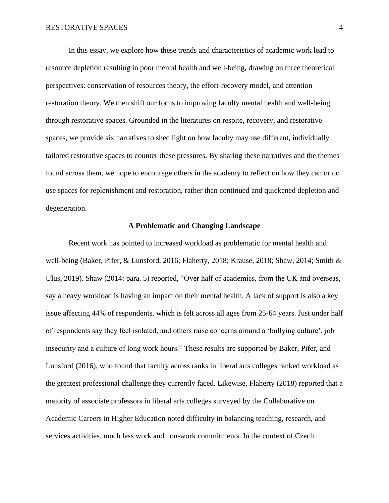In this essay, we explore how these trends and characteristics of academic work lead to resource depletion resulting in poor mental health and well-being, drawing on three theoretical perspectives: conservation of resources theory, the effort-recovery model, and attention restoration theory. We then shift our focus to improving faculty mental health and well-being through restorative spaces. Grounded in the literatures on respite, recovery, and restorative spaces, we provide six narratives to shed light on how faculty may use different, individually tailored restorative spaces to counter these pressures. By sharing these narratives and the themes found across them, we hope to encourage others in the academy to reflect on how they can or do use spaces for replenishment and restoration, rather than continued and quickened depletion and degeneration.

#### **A Problematic and Changing Landscape**

Recent work has pointed to increased workload as problematic for mental health and well-being (Baker, Pifer, & Lunsford, 2016; Flaherty, 2018; Krause, 2018; Shaw, 2014; Smith & Ulus, 2019). Shaw (2014: para. 5) reported, "Over half of academics, from the UK and overseas, say a heavy workload is having an impact on their mental health. A lack of support is also a key issue affecting 44% of respondents, which is felt across all ages from 25-64 years. Just under half of respondents say they feel isolated, and others raise concerns around a 'bullying culture', job insecurity and a culture of long work hours." These results are supported by Baker, Pifer, and Lunsford (2016), who found that faculty across ranks in liberal arts colleges ranked workload as the greatest professional challenge they currently faced. Likewise, Flaherty (2018) reported that a majority of associate professors in liberal arts colleges surveyed by the Collaborative on Academic Careers in Higher Education noted difficulty in balancing teaching, research, and services activities, much less work and non-work commitments. In the context of Czech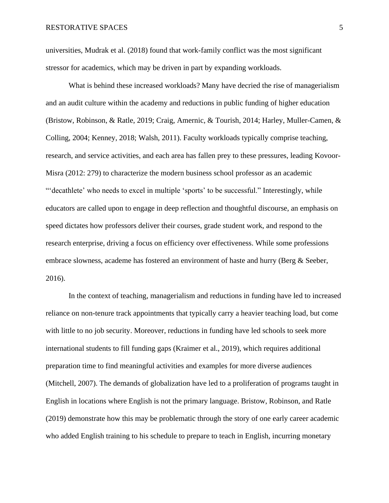universities, Mudrak et al. (2018) found that work-family conflict was the most significant stressor for academics, which may be driven in part by expanding workloads.

What is behind these increased workloads? Many have decried the rise of managerialism and an audit culture within the academy and reductions in public funding of higher education (Bristow, Robinson, & Ratle, 2019; Craig, Amernic, & Tourish, 2014; Harley, Muller-Camen, & Colling, 2004; Kenney, 2018; Walsh, 2011). Faculty workloads typically comprise teaching, research, and service activities, and each area has fallen prey to these pressures, leading Kovoor-Misra (2012: 279) to characterize the modern business school professor as an academic ""decathlete' who needs to excel in multiple 'sports' to be successful." Interestingly, while educators are called upon to engage in deep reflection and thoughtful discourse, an emphasis on speed dictates how professors deliver their courses, grade student work, and respond to the research enterprise, driving a focus on efficiency over effectiveness. While some professions embrace slowness, academe has fostered an environment of haste and hurry (Berg & Seeber, 2016).

In the context of teaching, managerialism and reductions in funding have led to increased reliance on non-tenure track appointments that typically carry a heavier teaching load, but come with little to no job security. Moreover, reductions in funding have led schools to seek more international students to fill funding gaps (Kraimer et al., 2019), which requires additional preparation time to find meaningful activities and examples for more diverse audiences (Mitchell, 2007). The demands of globalization have led to a proliferation of programs taught in English in locations where English is not the primary language. Bristow, Robinson, and Ratle (2019) demonstrate how this may be problematic through the story of one early career academic who added English training to his schedule to prepare to teach in English, incurring monetary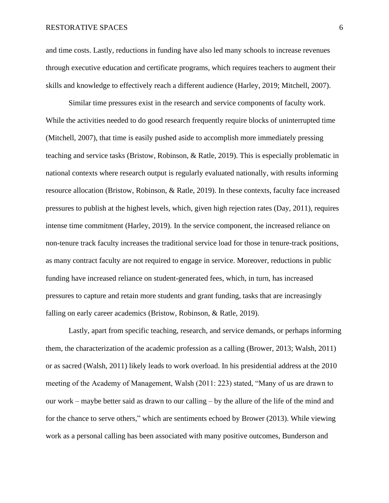and time costs. Lastly, reductions in funding have also led many schools to increase revenues through executive education and certificate programs, which requires teachers to augment their skills and knowledge to effectively reach a different audience (Harley, 2019; Mitchell, 2007).

Similar time pressures exist in the research and service components of faculty work. While the activities needed to do good research frequently require blocks of uninterrupted time (Mitchell, 2007), that time is easily pushed aside to accomplish more immediately pressing teaching and service tasks (Bristow, Robinson, & Ratle, 2019). This is especially problematic in national contexts where research output is regularly evaluated nationally, with results informing resource allocation (Bristow, Robinson, & Ratle, 2019). In these contexts, faculty face increased pressures to publish at the highest levels, which, given high rejection rates (Day, 2011), requires intense time commitment (Harley, 2019). In the service component, the increased reliance on non-tenure track faculty increases the traditional service load for those in tenure-track positions, as many contract faculty are not required to engage in service. Moreover, reductions in public funding have increased reliance on student-generated fees, which, in turn, has increased pressures to capture and retain more students and grant funding, tasks that are increasingly falling on early career academics (Bristow, Robinson, & Ratle, 2019).

Lastly, apart from specific teaching, research, and service demands, or perhaps informing them, the characterization of the academic profession as a calling (Brower, 2013; Walsh, 2011) or as sacred (Walsh, 2011) likely leads to work overload. In his presidential address at the 2010 meeting of the Academy of Management, Walsh (2011: 223) stated, "Many of us are drawn to our work – maybe better said as drawn to our calling – by the allure of the life of the mind and for the chance to serve others," which are sentiments echoed by Brower (2013). While viewing work as a personal calling has been associated with many positive outcomes, Bunderson and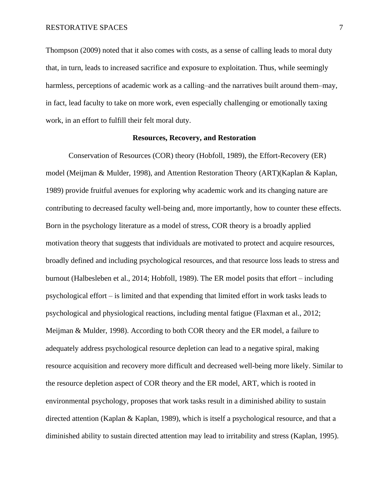Thompson (2009) noted that it also comes with costs, as a sense of calling leads to moral duty that, in turn, leads to increased sacrifice and exposure to exploitation. Thus, while seemingly harmless, perceptions of academic work as a calling–and the narratives built around them–may, in fact, lead faculty to take on more work, even especially challenging or emotionally taxing work, in an effort to fulfill their felt moral duty.

## **Resources, Recovery, and Restoration**

Conservation of Resources (COR) theory (Hobfoll, 1989), the Effort-Recovery (ER) model (Meijman & Mulder, 1998), and Attention Restoration Theory (ART)(Kaplan & Kaplan, 1989) provide fruitful avenues for exploring why academic work and its changing nature are contributing to decreased faculty well-being and, more importantly, how to counter these effects. Born in the psychology literature as a model of stress, COR theory is a broadly applied motivation theory that suggests that individuals are motivated to protect and acquire resources, broadly defined and including psychological resources, and that resource loss leads to stress and burnout (Halbesleben et al., 2014; Hobfoll, 1989). The ER model posits that effort – including psychological effort – is limited and that expending that limited effort in work tasks leads to psychological and physiological reactions, including mental fatigue (Flaxman et al., 2012; Meijman & Mulder, 1998). According to both COR theory and the ER model, a failure to adequately address psychological resource depletion can lead to a negative spiral, making resource acquisition and recovery more difficult and decreased well-being more likely. Similar to the resource depletion aspect of COR theory and the ER model, ART, which is rooted in environmental psychology, proposes that work tasks result in a diminished ability to sustain directed attention (Kaplan & Kaplan, 1989), which is itself a psychological resource, and that a diminished ability to sustain directed attention may lead to irritability and stress (Kaplan, 1995).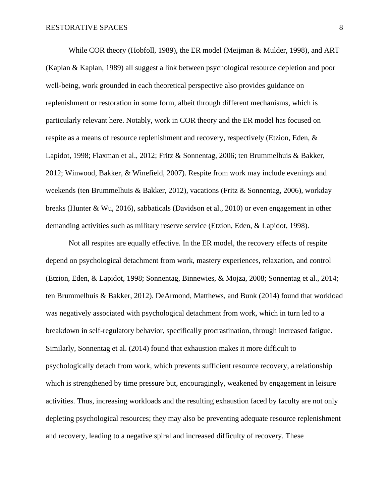While COR theory (Hobfoll, 1989), the ER model (Meijman & Mulder, 1998), and ART (Kaplan & Kaplan, 1989) all suggest a link between psychological resource depletion and poor well-being, work grounded in each theoretical perspective also provides guidance on replenishment or restoration in some form, albeit through different mechanisms, which is particularly relevant here. Notably, work in COR theory and the ER model has focused on respite as a means of resource replenishment and recovery, respectively (Etzion, Eden, & Lapidot, 1998; Flaxman et al., 2012; Fritz & Sonnentag, 2006; ten Brummelhuis & Bakker, 2012; Winwood, Bakker, & Winefield, 2007). Respite from work may include evenings and weekends (ten Brummelhuis & Bakker, 2012), vacations (Fritz & Sonnentag, 2006), workday breaks (Hunter & Wu, 2016), sabbaticals (Davidson et al., 2010) or even engagement in other demanding activities such as military reserve service (Etzion, Eden, & Lapidot, 1998).

Not all respites are equally effective. In the ER model, the recovery effects of respite depend on psychological detachment from work, mastery experiences, relaxation, and control (Etzion, Eden, & Lapidot, 1998; Sonnentag, Binnewies, & Mojza, 2008; Sonnentag et al., 2014; ten Brummelhuis & Bakker, 2012). DeArmond, Matthews, and Bunk (2014) found that workload was negatively associated with psychological detachment from work, which in turn led to a breakdown in self-regulatory behavior, specifically procrastination, through increased fatigue. Similarly, Sonnentag et al. (2014) found that exhaustion makes it more difficult to psychologically detach from work, which prevents sufficient resource recovery, a relationship which is strengthened by time pressure but, encouragingly, weakened by engagement in leisure activities. Thus, increasing workloads and the resulting exhaustion faced by faculty are not only depleting psychological resources; they may also be preventing adequate resource replenishment and recovery, leading to a negative spiral and increased difficulty of recovery. These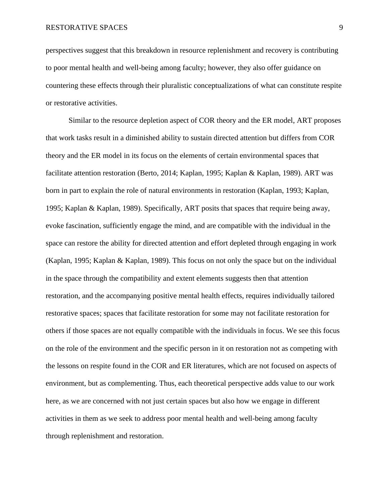perspectives suggest that this breakdown in resource replenishment and recovery is contributing to poor mental health and well-being among faculty; however, they also offer guidance on countering these effects through their pluralistic conceptualizations of what can constitute respite or restorative activities.

Similar to the resource depletion aspect of COR theory and the ER model, ART proposes that work tasks result in a diminished ability to sustain directed attention but differs from COR theory and the ER model in its focus on the elements of certain environmental spaces that facilitate attention restoration (Berto, 2014; Kaplan, 1995; Kaplan & Kaplan, 1989). ART was born in part to explain the role of natural environments in restoration (Kaplan, 1993; Kaplan, 1995; Kaplan & Kaplan, 1989). Specifically, ART posits that spaces that require being away, evoke fascination, sufficiently engage the mind, and are compatible with the individual in the space can restore the ability for directed attention and effort depleted through engaging in work (Kaplan, 1995; Kaplan & Kaplan, 1989). This focus on not only the space but on the individual in the space through the compatibility and extent elements suggests then that attention restoration, and the accompanying positive mental health effects, requires individually tailored restorative spaces; spaces that facilitate restoration for some may not facilitate restoration for others if those spaces are not equally compatible with the individuals in focus. We see this focus on the role of the environment and the specific person in it on restoration not as competing with the lessons on respite found in the COR and ER literatures, which are not focused on aspects of environment, but as complementing. Thus, each theoretical perspective adds value to our work here, as we are concerned with not just certain spaces but also how we engage in different activities in them as we seek to address poor mental health and well-being among faculty through replenishment and restoration.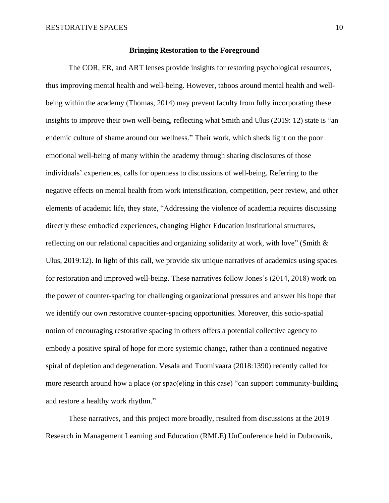### **Bringing Restoration to the Foreground**

The COR, ER, and ART lenses provide insights for restoring psychological resources, thus improving mental health and well-being. However, taboos around mental health and wellbeing within the academy (Thomas, 2014) may prevent faculty from fully incorporating these insights to improve their own well-being, reflecting what Smith and Ulus (2019: 12) state is "an endemic culture of shame around our wellness." Their work, which sheds light on the poor emotional well-being of many within the academy through sharing disclosures of those individuals' experiences, calls for openness to discussions of well-being. Referring to the negative effects on mental health from work intensification, competition, peer review, and other elements of academic life, they state, "Addressing the violence of academia requires discussing directly these embodied experiences, changing Higher Education institutional structures, reflecting on our relational capacities and organizing solidarity at work, with love" (Smith & Ulus, 2019:12). In light of this call, we provide six unique narratives of academics using spaces for restoration and improved well-being. These narratives follow Jones's (2014, 2018) work on the power of counter-spacing for challenging organizational pressures and answer his hope that we identify our own restorative counter-spacing opportunities. Moreover, this socio-spatial notion of encouraging restorative spacing in others offers a potential collective agency to embody a positive spiral of hope for more systemic change, rather than a continued negative spiral of depletion and degeneration. Vesala and Tuomivaara (2018:1390) recently called for more research around how a place (or spac(e)ing in this case) "can support community-building and restore a healthy work rhythm."

These narratives, and this project more broadly, resulted from discussions at the 2019 Research in Management Learning and Education (RMLE) UnConference held in Dubrovnik,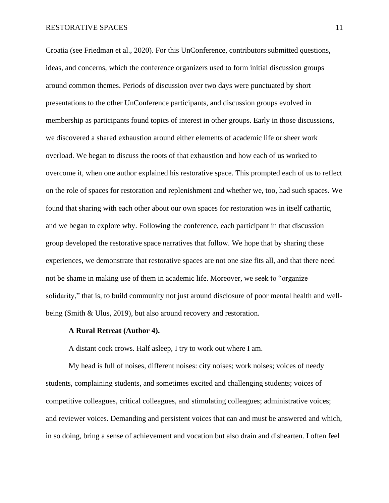Croatia (see Friedman et al., 2020). For this UnConference, contributors submitted questions, ideas, and concerns, which the conference organizers used to form initial discussion groups around common themes. Periods of discussion over two days were punctuated by short presentations to the other UnConference participants, and discussion groups evolved in membership as participants found topics of interest in other groups. Early in those discussions, we discovered a shared exhaustion around either elements of academic life or sheer work overload. We began to discuss the roots of that exhaustion and how each of us worked to overcome it, when one author explained his restorative space. This prompted each of us to reflect on the role of spaces for restoration and replenishment and whether we, too, had such spaces. We found that sharing with each other about our own spaces for restoration was in itself cathartic, and we began to explore why. Following the conference, each participant in that discussion group developed the restorative space narratives that follow. We hope that by sharing these experiences, we demonstrate that restorative spaces are not one size fits all, and that there need not be shame in making use of them in academic life. Moreover, we seek to "organize solidarity," that is, to build community not just around disclosure of poor mental health and wellbeing (Smith & Ulus, 2019), but also around recovery and restoration.

#### **A Rural Retreat (Author 4).**

A distant cock crows. Half asleep, I try to work out where I am.

My head is full of noises, different noises: city noises; work noises; voices of needy students, complaining students, and sometimes excited and challenging students; voices of competitive colleagues, critical colleagues, and stimulating colleagues; administrative voices; and reviewer voices. Demanding and persistent voices that can and must be answered and which, in so doing, bring a sense of achievement and vocation but also drain and dishearten. I often feel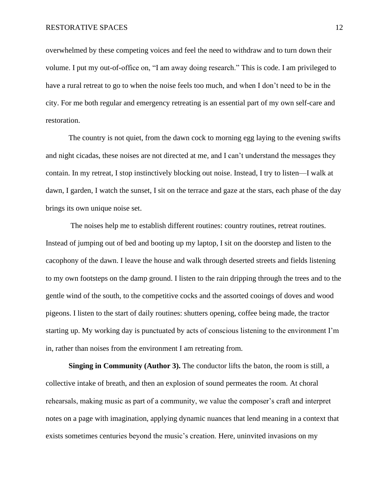overwhelmed by these competing voices and feel the need to withdraw and to turn down their volume. I put my out-of-office on, "I am away doing research." This is code. I am privileged to have a rural retreat to go to when the noise feels too much, and when I don't need to be in the city. For me both regular and emergency retreating is an essential part of my own self-care and restoration.

The country is not quiet, from the dawn cock to morning egg laying to the evening swifts and night cicadas, these noises are not directed at me, and I can't understand the messages they contain. In my retreat, I stop instinctively blocking out noise. Instead, I try to listen—I walk at dawn, I garden, I watch the sunset, I sit on the terrace and gaze at the stars, each phase of the day brings its own unique noise set.

The noises help me to establish different routines: country routines, retreat routines. Instead of jumping out of bed and booting up my laptop, I sit on the doorstep and listen to the cacophony of the dawn. I leave the house and walk through deserted streets and fields listening to my own footsteps on the damp ground. I listen to the rain dripping through the trees and to the gentle wind of the south, to the competitive cocks and the assorted cooings of doves and wood pigeons. I listen to the start of daily routines: shutters opening, coffee being made, the tractor starting up. My working day is punctuated by acts of conscious listening to the environment I'm in, rather than noises from the environment I am retreating from.

**Singing in Community (Author 3).** The conductor lifts the baton, the room is still, a collective intake of breath, and then an explosion of sound permeates the room. At choral rehearsals, making music as part of a community, we value the composer's craft and interpret notes on a page with imagination, applying dynamic nuances that lend meaning in a context that exists sometimes centuries beyond the music's creation. Here, uninvited invasions on my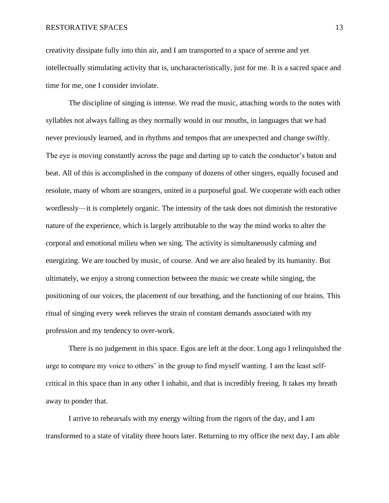creativity dissipate fully into thin air, and I am transported to a space of serene and yet intellectually stimulating activity that is, uncharacteristically, just for me. It is a sacred space and time for me, one I consider inviolate.

The discipline of singing is intense. We read the music, attaching words to the notes with syllables not always falling as they normally would in our mouths, in languages that we had never previously learned, and in rhythms and tempos that are unexpected and change swiftly. The eye is moving constantly across the page and darting up to catch the conductor's baton and beat. All of this is accomplished in the company of dozens of other singers, equally focused and resolute, many of whom are strangers, united in a purposeful goal. We cooperate with each other wordlessly—it is completely organic. The intensity of the task does not diminish the restorative nature of the experience, which is largely attributable to the way the mind works to alter the corporal and emotional milieu when we sing. The activity is simultaneously calming and energizing. We are touched by music, of course. And we are also healed by its humanity. But ultimately, we enjoy a strong connection between the music we create while singing, the positioning of our voices, the placement of our breathing, and the functioning of our brains. This ritual of singing every week relieves the strain of constant demands associated with my profession and my tendency to over-work.

There is no judgement in this space. Egos are left at the door. Long ago I relinquished the urge to compare my voice to others' in the group to find myself wanting. I am the least selfcritical in this space than in any other I inhabit, and that is incredibly freeing. It takes my breath away to ponder that.

I arrive to rehearsals with my energy wilting from the rigors of the day, and I am transformed to a state of vitality three hours later. Returning to my office the next day, I am able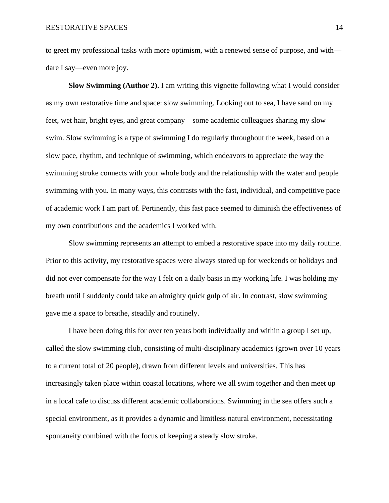to greet my professional tasks with more optimism, with a renewed sense of purpose, and with dare I say—even more joy.

**Slow Swimming (Author 2).** I am writing this vignette following what I would consider as my own restorative time and space: slow swimming. Looking out to sea, I have sand on my feet, wet hair, bright eyes, and great company—some academic colleagues sharing my slow swim. Slow swimming is a type of swimming I do regularly throughout the week, based on a slow pace, rhythm, and technique of swimming, which endeavors to appreciate the way the swimming stroke connects with your whole body and the relationship with the water and people swimming with you. In many ways, this contrasts with the fast, individual, and competitive pace of academic work I am part of. Pertinently, this fast pace seemed to diminish the effectiveness of my own contributions and the academics I worked with.

Slow swimming represents an attempt to embed a restorative space into my daily routine. Prior to this activity, my restorative spaces were always stored up for weekends or holidays and did not ever compensate for the way I felt on a daily basis in my working life. I was holding my breath until I suddenly could take an almighty quick gulp of air. In contrast, slow swimming gave me a space to breathe, steadily and routinely.

I have been doing this for over ten years both individually and within a group I set up, called the slow swimming club, consisting of multi-disciplinary academics (grown over 10 years to a current total of 20 people), drawn from different levels and universities. This has increasingly taken place within coastal locations, where we all swim together and then meet up in a local cafe to discuss different academic collaborations. Swimming in the sea offers such a special environment, as it provides a dynamic and limitless natural environment, necessitating spontaneity combined with the focus of keeping a steady slow stroke.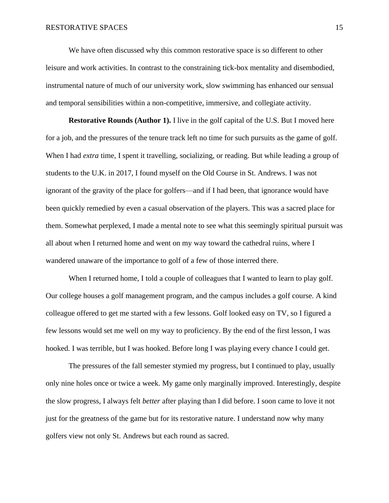We have often discussed why this common restorative space is so different to other leisure and work activities. In contrast to the constraining tick-box mentality and disembodied, instrumental nature of much of our university work, slow swimming has enhanced our sensual and temporal sensibilities within a non-competitive, immersive, and collegiate activity.

**Restorative Rounds (Author 1).** I live in the golf capital of the U.S. But I moved here for a job, and the pressures of the tenure track left no time for such pursuits as the game of golf. When I had *extra* time, I spent it travelling, socializing, or reading. But while leading a group of students to the U.K. in 2017, I found myself on the Old Course in St. Andrews. I was not ignorant of the gravity of the place for golfers—and if I had been, that ignorance would have been quickly remedied by even a casual observation of the players. This was a sacred place for them. Somewhat perplexed, I made a mental note to see what this seemingly spiritual pursuit was all about when I returned home and went on my way toward the cathedral ruins, where I wandered unaware of the importance to golf of a few of those interred there.

When I returned home, I told a couple of colleagues that I wanted to learn to play golf. Our college houses a golf management program, and the campus includes a golf course. A kind colleague offered to get me started with a few lessons. Golf looked easy on TV, so I figured a few lessons would set me well on my way to proficiency. By the end of the first lesson, I was hooked. I was terrible, but I was hooked. Before long I was playing every chance I could get.

The pressures of the fall semester stymied my progress, but I continued to play, usually only nine holes once or twice a week. My game only marginally improved. Interestingly, despite the slow progress, I always felt *better* after playing than I did before. I soon came to love it not just for the greatness of the game but for its restorative nature. I understand now why many golfers view not only St. Andrews but each round as sacred.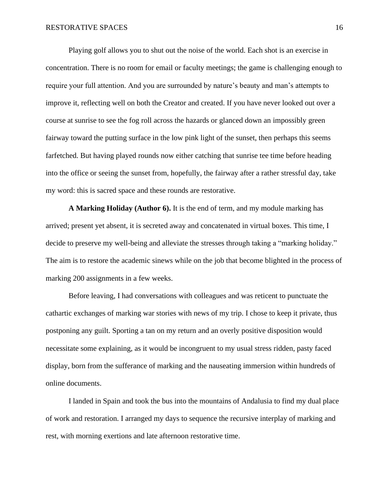Playing golf allows you to shut out the noise of the world. Each shot is an exercise in concentration. There is no room for email or faculty meetings; the game is challenging enough to require your full attention. And you are surrounded by nature's beauty and man's attempts to improve it, reflecting well on both the Creator and created. If you have never looked out over a course at sunrise to see the fog roll across the hazards or glanced down an impossibly green fairway toward the putting surface in the low pink light of the sunset, then perhaps this seems farfetched. But having played rounds now either catching that sunrise tee time before heading into the office or seeing the sunset from, hopefully, the fairway after a rather stressful day, take my word: this is sacred space and these rounds are restorative.

**A Marking Holiday (Author 6).** It is the end of term, and my module marking has arrived; present yet absent, it is secreted away and concatenated in virtual boxes. This time, I decide to preserve my well-being and alleviate the stresses through taking a "marking holiday." The aim is to restore the academic sinews while on the job that become blighted in the process of marking 200 assignments in a few weeks.

Before leaving, I had conversations with colleagues and was reticent to punctuate the cathartic exchanges of marking war stories with news of my trip. I chose to keep it private, thus postponing any guilt. Sporting a tan on my return and an overly positive disposition would necessitate some explaining, as it would be incongruent to my usual stress ridden, pasty faced display, born from the sufferance of marking and the nauseating immersion within hundreds of online documents.

I landed in Spain and took the bus into the mountains of Andalusia to find my dual place of work and restoration. I arranged my days to sequence the recursive interplay of marking and rest, with morning exertions and late afternoon restorative time.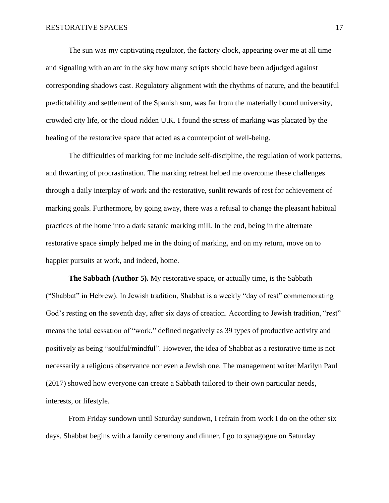The sun was my captivating regulator, the factory clock, appearing over me at all time and signaling with an arc in the sky how many scripts should have been adjudged against corresponding shadows cast. Regulatory alignment with the rhythms of nature, and the beautiful predictability and settlement of the Spanish sun, was far from the materially bound university, crowded city life, or the cloud ridden U.K. I found the stress of marking was placated by the healing of the restorative space that acted as a counterpoint of well-being.

The difficulties of marking for me include self-discipline, the regulation of work patterns, and thwarting of procrastination. The marking retreat helped me overcome these challenges through a daily interplay of work and the restorative, sunlit rewards of rest for achievement of marking goals. Furthermore, by going away, there was a refusal to change the pleasant habitual practices of the home into a dark satanic marking mill. In the end, being in the alternate restorative space simply helped me in the doing of marking, and on my return, move on to happier pursuits at work, and indeed, home.

**The Sabbath (Author 5).** My restorative space, or actually time, is the Sabbath ("Shabbat" in Hebrew). In Jewish tradition, Shabbat is a weekly "day of rest" commemorating God's resting on the seventh day, after six days of creation. According to Jewish tradition, "rest" means the total cessation of "work," defined negatively as 39 types of productive activity and positively as being "soulful/mindful". However, the idea of Shabbat as a restorative time is not necessarily a religious observance nor even a Jewish one. The management writer Marilyn Paul (2017) showed how everyone can create a Sabbath tailored to their own particular needs, interests, or lifestyle.

From Friday sundown until Saturday sundown, I refrain from work I do on the other six days. Shabbat begins with a family ceremony and dinner. I go to synagogue on Saturday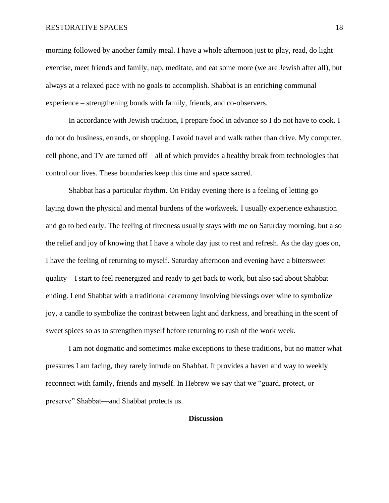morning followed by another family meal. I have a whole afternoon just to play, read, do light exercise, meet friends and family, nap, meditate, and eat some more (we are Jewish after all), but always at a relaxed pace with no goals to accomplish. Shabbat is an enriching communal experience – strengthening bonds with family, friends, and co-observers.

In accordance with Jewish tradition, I prepare food in advance so I do not have to cook. I do not do business, errands, or shopping. I avoid travel and walk rather than drive. My computer, cell phone, and TV are turned off—all of which provides a healthy break from technologies that control our lives. These boundaries keep this time and space sacred.

Shabbat has a particular rhythm. On Friday evening there is a feeling of letting go laying down the physical and mental burdens of the workweek. I usually experience exhaustion and go to bed early. The feeling of tiredness usually stays with me on Saturday morning, but also the relief and joy of knowing that I have a whole day just to rest and refresh. As the day goes on, I have the feeling of returning to myself. Saturday afternoon and evening have a bittersweet quality—I start to feel reenergized and ready to get back to work, but also sad about Shabbat ending. I end Shabbat with a traditional ceremony involving blessings over wine to symbolize joy, a candle to symbolize the contrast between light and darkness, and breathing in the scent of sweet spices so as to strengthen myself before returning to rush of the work week.

I am not dogmatic and sometimes make exceptions to these traditions, but no matter what pressures I am facing, they rarely intrude on Shabbat. It provides a haven and way to weekly reconnect with family, friends and myself. In Hebrew we say that we "guard, protect, or preserve" Shabbat—and Shabbat protects us.

# **Discussion**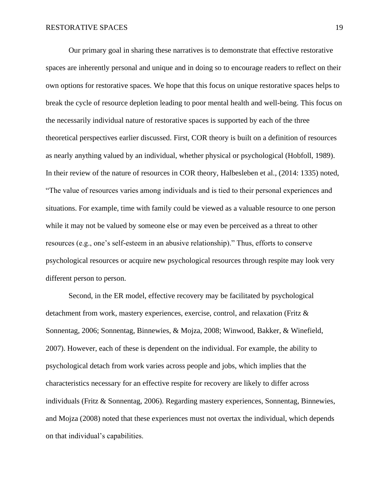Our primary goal in sharing these narratives is to demonstrate that effective restorative spaces are inherently personal and unique and in doing so to encourage readers to reflect on their own options for restorative spaces. We hope that this focus on unique restorative spaces helps to break the cycle of resource depletion leading to poor mental health and well-being. This focus on the necessarily individual nature of restorative spaces is supported by each of the three theoretical perspectives earlier discussed. First, COR theory is built on a definition of resources as nearly anything valued by an individual, whether physical or psychological (Hobfoll, 1989). In their review of the nature of resources in COR theory, Halbesleben et al., (2014: 1335) noted, "The value of resources varies among individuals and is tied to their personal experiences and situations. For example, time with family could be viewed as a valuable resource to one person while it may not be valued by someone else or may even be perceived as a threat to other resources (e.g., one's self-esteem in an abusive relationship)." Thus, efforts to conserve psychological resources or acquire new psychological resources through respite may look very different person to person.

Second, in the ER model, effective recovery may be facilitated by psychological detachment from work, mastery experiences, exercise, control, and relaxation (Fritz & Sonnentag, 2006; Sonnentag, Binnewies, & Mojza, 2008; Winwood, Bakker, & Winefield, 2007). However, each of these is dependent on the individual. For example, the ability to psychological detach from work varies across people and jobs, which implies that the characteristics necessary for an effective respite for recovery are likely to differ across individuals (Fritz & Sonnentag, 2006). Regarding mastery experiences, Sonnentag, Binnewies, and Mojza (2008) noted that these experiences must not overtax the individual, which depends on that individual's capabilities.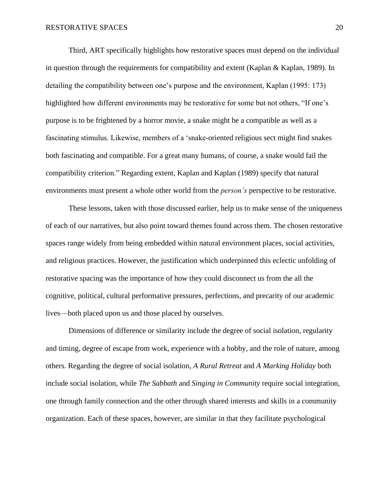Third, ART specifically highlights how restorative spaces must depend on the individual in question through the requirements for compatibility and extent (Kaplan  $\&$  Kaplan, 1989). In detailing the compatibility between one's purpose and the environment, Kaplan (1995: 173) highlighted how different environments may be restorative for some but not others, "If one's purpose is to be frightened by a horror movie, a snake might be a compatible as well as a fascinating stimulus. Likewise, members of a 'snake-oriented religious sect might find snakes both fascinating and compatible. For a great many humans, of course, a snake would fail the compatibility criterion." Regarding extent, Kaplan and Kaplan (1989) specify that natural environments must present a whole other world from the *person's* perspective to be restorative.

These lessons, taken with those discussed earlier, help us to make sense of the uniqueness of each of our narratives, but also point toward themes found across them. The chosen restorative spaces range widely from being embedded within natural environment places, social activities, and religious practices. However, the justification which underpinned this eclectic unfolding of restorative spacing was the importance of how they could disconnect us from the all the cognitive, political, cultural performative pressures, perfections, and precarity of our academic lives—both placed upon us and those placed by ourselves.

Dimensions of difference or similarity include the degree of social isolation, regularity and timing, degree of escape from work, experience with a hobby, and the role of nature, among others. Regarding the degree of social isolation, *A Rural Retreat* and *A Marking Holiday* both include social isolation, while *The Sabbath* and *Singing in Community* require social integration, one through family connection and the other through shared interests and skills in a community organization. Each of these spaces, however, are similar in that they facilitate psychological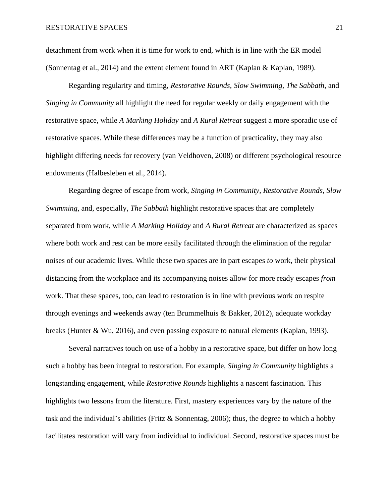detachment from work when it is time for work to end, which is in line with the ER model (Sonnentag et al., 2014) and the extent element found in ART (Kaplan & Kaplan, 1989).

Regarding regularity and timing, *Restorative Rounds*, *Slow Swimming*, *The Sabbath*, and *Singing in Community* all highlight the need for regular weekly or daily engagement with the restorative space, while *A Marking Holiday* and *A Rural Retreat* suggest a more sporadic use of restorative spaces. While these differences may be a function of practicality, they may also highlight differing needs for recovery (van Veldhoven, 2008) or different psychological resource endowments (Halbesleben et al., 2014).

Regarding degree of escape from work, *Singing in Community*, *Restorative Rounds*, *Slow Swimming*, and, especially, *The Sabbath* highlight restorative spaces that are completely separated from work, while *A Marking Holiday* and *A Rural Retreat* are characterized as spaces where both work and rest can be more easily facilitated through the elimination of the regular noises of our academic lives. While these two spaces are in part escapes *to* work, their physical distancing from the workplace and its accompanying noises allow for more ready escapes *from* work. That these spaces, too, can lead to restoration is in line with previous work on respite through evenings and weekends away (ten Brummelhuis & Bakker, 2012), adequate workday breaks (Hunter & Wu, 2016), and even passing exposure to natural elements (Kaplan, 1993).

Several narratives touch on use of a hobby in a restorative space, but differ on how long such a hobby has been integral to restoration. For example, *Singing in Community* highlights a longstanding engagement, while *Restorative Rounds* highlights a nascent fascination. This highlights two lessons from the literature. First, mastery experiences vary by the nature of the task and the individual's abilities (Fritz & Sonnentag, 2006); thus, the degree to which a hobby facilitates restoration will vary from individual to individual. Second, restorative spaces must be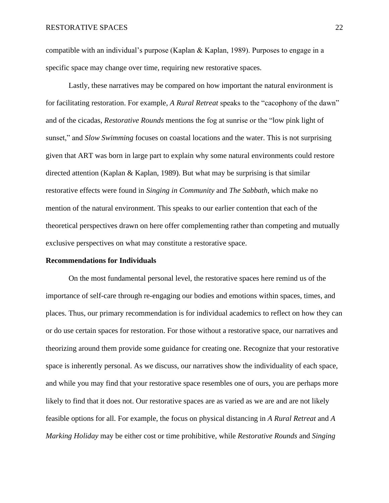compatible with an individual's purpose (Kaplan & Kaplan, 1989). Purposes to engage in a specific space may change over time, requiring new restorative spaces.

Lastly, these narratives may be compared on how important the natural environment is for facilitating restoration. For example, *A Rural Retreat* speaks to the "cacophony of the dawn" and of the cicadas, *Restorative Rounds* mentions the fog at sunrise or the "low pink light of sunset," and *Slow Swimming* focuses on coastal locations and the water. This is not surprising given that ART was born in large part to explain why some natural environments could restore directed attention (Kaplan & Kaplan, 1989). But what may be surprising is that similar restorative effects were found in *Singing in Community* and *The Sabbath*, which make no mention of the natural environment. This speaks to our earlier contention that each of the theoretical perspectives drawn on here offer complementing rather than competing and mutually exclusive perspectives on what may constitute a restorative space.

#### **Recommendations for Individuals**

On the most fundamental personal level, the restorative spaces here remind us of the importance of self-care through re-engaging our bodies and emotions within spaces, times, and places. Thus, our primary recommendation is for individual academics to reflect on how they can or do use certain spaces for restoration. For those without a restorative space, our narratives and theorizing around them provide some guidance for creating one. Recognize that your restorative space is inherently personal. As we discuss, our narratives show the individuality of each space, and while you may find that your restorative space resembles one of ours, you are perhaps more likely to find that it does not. Our restorative spaces are as varied as we are and are not likely feasible options for all. For example, the focus on physical distancing in *A Rural Retreat* and *A Marking Holiday* may be either cost or time prohibitive, while *Restorative Rounds* and *Singing*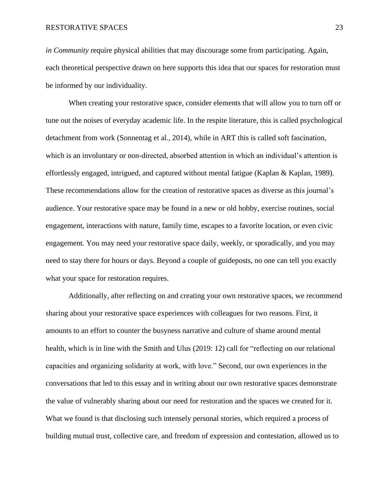*in Community* require physical abilities that may discourage some from participating. Again, each theoretical perspective drawn on here supports this idea that our spaces for restoration must be informed by our individuality.

When creating your restorative space, consider elements that will allow you to turn off or tune out the noises of everyday academic life. In the respite literature, this is called psychological detachment from work (Sonnentag et al., 2014), while in ART this is called soft fascination, which is an involuntary or non-directed, absorbed attention in which an individual's attention is effortlessly engaged, intrigued, and captured without mental fatigue (Kaplan & Kaplan, 1989). These recommendations allow for the creation of restorative spaces as diverse as this journal's audience. Your restorative space may be found in a new or old hobby, exercise routines, social engagement, interactions with nature, family time, escapes to a favorite location, or even civic engagement. You may need your restorative space daily, weekly, or sporadically, and you may need to stay there for hours or days. Beyond a couple of guideposts, no one can tell you exactly what your space for restoration requires.

Additionally, after reflecting on and creating your own restorative spaces, we recommend sharing about your restorative space experiences with colleagues for two reasons. First, it amounts to an effort to counter the busyness narrative and culture of shame around mental health, which is in line with the Smith and Ulus (2019: 12) call for "reflecting on our relational capacities and organizing solidarity at work, with love." Second, our own experiences in the conversations that led to this essay and in writing about our own restorative spaces demonstrate the value of vulnerably sharing about our need for restoration and the spaces we created for it. What we found is that disclosing such intensely personal stories, which required a process of building mutual trust, collective care, and freedom of expression and contestation, allowed us to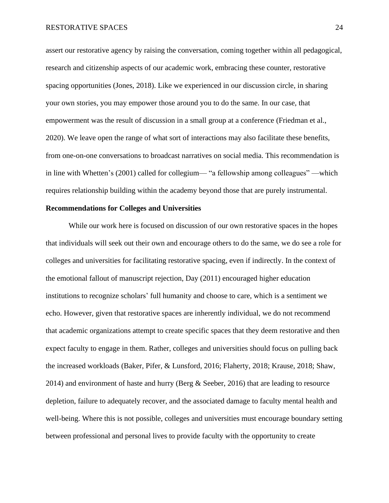assert our restorative agency by raising the conversation, coming together within all pedagogical, research and citizenship aspects of our academic work, embracing these counter, restorative spacing opportunities (Jones, 2018). Like we experienced in our discussion circle, in sharing your own stories, you may empower those around you to do the same. In our case, that empowerment was the result of discussion in a small group at a conference (Friedman et al., 2020). We leave open the range of what sort of interactions may also facilitate these benefits, from one-on-one conversations to broadcast narratives on social media. This recommendation is in line with Whetten's (2001) called for collegium— "a fellowship among colleagues" —which requires relationship building within the academy beyond those that are purely instrumental.

## **Recommendations for Colleges and Universities**

While our work here is focused on discussion of our own restorative spaces in the hopes that individuals will seek out their own and encourage others to do the same, we do see a role for colleges and universities for facilitating restorative spacing, even if indirectly. In the context of the emotional fallout of manuscript rejection, Day (2011) encouraged higher education institutions to recognize scholars' full humanity and choose to care, which is a sentiment we echo. However, given that restorative spaces are inherently individual, we do not recommend that academic organizations attempt to create specific spaces that they deem restorative and then expect faculty to engage in them. Rather, colleges and universities should focus on pulling back the increased workloads (Baker, Pifer, & Lunsford, 2016; Flaherty, 2018; Krause, 2018; Shaw, 2014) and environment of haste and hurry (Berg & Seeber, 2016) that are leading to resource depletion, failure to adequately recover, and the associated damage to faculty mental health and well-being. Where this is not possible, colleges and universities must encourage boundary setting between professional and personal lives to provide faculty with the opportunity to create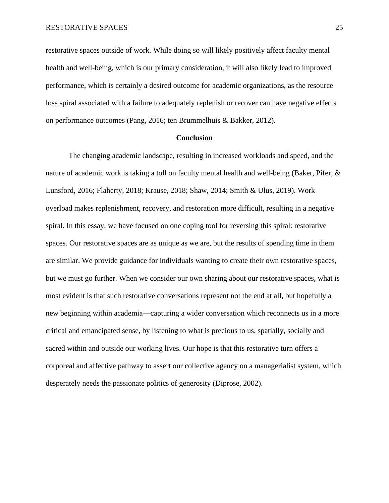restorative spaces outside of work. While doing so will likely positively affect faculty mental health and well-being, which is our primary consideration, it will also likely lead to improved performance, which is certainly a desired outcome for academic organizations, as the resource loss spiral associated with a failure to adequately replenish or recover can have negative effects on performance outcomes (Pang, 2016; ten Brummelhuis & Bakker, 2012).

#### **Conclusion**

The changing academic landscape, resulting in increased workloads and speed, and the nature of academic work is taking a toll on faculty mental health and well-being (Baker, Pifer, & Lunsford, 2016; Flaherty, 2018; Krause, 2018; Shaw, 2014; Smith & Ulus, 2019). Work overload makes replenishment, recovery, and restoration more difficult, resulting in a negative spiral. In this essay, we have focused on one coping tool for reversing this spiral: restorative spaces. Our restorative spaces are as unique as we are, but the results of spending time in them are similar. We provide guidance for individuals wanting to create their own restorative spaces, but we must go further. When we consider our own sharing about our restorative spaces, what is most evident is that such restorative conversations represent not the end at all, but hopefully a new beginning within academia—capturing a wider conversation which reconnects us in a more critical and emancipated sense, by listening to what is precious to us, spatially, socially and sacred within and outside our working lives. Our hope is that this restorative turn offers a corporeal and affective pathway to assert our collective agency on a managerialist system, which desperately needs the passionate politics of generosity (Diprose, 2002).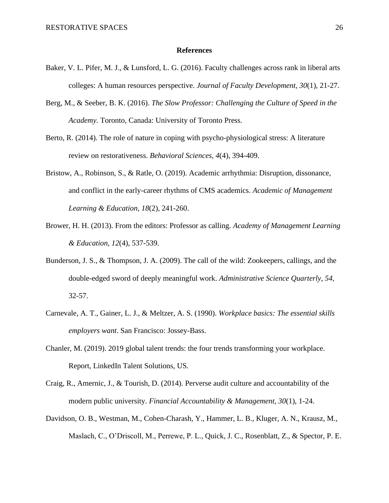#### **References**

- Baker, V. L. Pifer, M. J., & Lunsford, L. G. (2016). Faculty challenges across rank in liberal arts colleges: A human resources perspective. *Journal of Faculty Development, 30*(1), 21-27.
- Berg, M., & Seeber, B. K. (2016). *The Slow Professor: Challenging the Culture of Speed in the Academy.* Toronto, Canada: University of Toronto Press.
- Berto, R. (2014). The role of nature in coping with psycho-physiological stress: A literature review on restorativeness. *Behavioral Sciences, 4*(4), 394-409.
- Bristow, A., Robinson, S., & Ratle, O. (2019). Academic arrhythmia: Disruption, dissonance, and conflict in the early-career rhythms of CMS academics. *Academic of Management Learning & Education, 18*(2), 241-260.
- Brower, H. H. (2013). From the editors: Professor as calling. *Academy of Management Learning & Education, 12*(4), 537-539.
- Bunderson, J. S., & Thompson, J. A. (2009). The call of the wild: Zookeepers, callings, and the double-edged sword of deeply meaningful work. *Administrative Science Quarterly, 54,*  32-57.
- Carnevale, A. T., Gainer, L. J., & Meltzer, A. S. (1990). *Workplace basics: The essential skills employers want*. San Francisco: Jossey-Bass.
- Chanler, M. (2019). 2019 global talent trends: the four trends transforming your workplace. Report, LinkedIn Talent Solutions, US.
- Craig, R., Amernic, J., & Tourish, D. (2014). Perverse audit culture and accountability of the modern public university. *Financial Accountability & Management, 30*(1), 1-24.
- Davidson, O. B., Westman, M., Cohen-Charash, Y., Hammer, L. B., Kluger, A. N., Krausz, M., Maslach, C., O'Driscoll, M., Perrewe, P. L., Quick, J. C., Rosenblatt, Z., & Spector, P. E.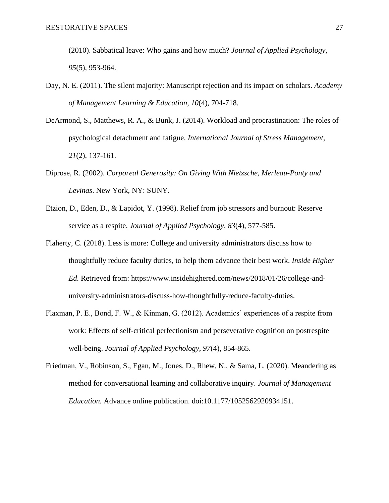(2010). Sabbatical leave: Who gains and how much? *Journal of Applied Psychology, 95*(5), 953-964.

- Day, N. E. (2011). The silent majority: Manuscript rejection and its impact on scholars. *Academy of Management Learning & Education, 10*(4), 704-718.
- DeArmond, S., Matthews, R. A., & Bunk, J. (2014). Workload and procrastination: The roles of psychological detachment and fatigue. *International Journal of Stress Management, 21*(2), 137-161.
- Diprose, R. (2002). *Corporeal Generosity: On Giving With Nietzsche, Merleau-Ponty and Levinas*. New York, NY: SUNY.
- Etzion, D., Eden, D., & Lapidot, Y. (1998). Relief from job stressors and burnout: Reserve service as a respite. *Journal of Applied Psychology, 83*(4), 577-585.
- Flaherty, C. (2018). Less is more: College and university administrators discuss how to thoughtfully reduce faculty duties, to help them advance their best work. *Inside Higher Ed.* Retrieved from: https://www.insidehighered.com/news/2018/01/26/college-anduniversity-administrators-discuss-how-thoughtfully-reduce-faculty-duties.
- Flaxman, P. E., Bond, F. W., & Kinman, G. (2012). Academics' experiences of a respite from work: Effects of self-critical perfectionism and perseverative cognition on postrespite well-being. *Journal of Applied Psychology, 97*(4), 854-865.
- Friedman, V., Robinson, S., Egan, M., Jones, D., Rhew, N., & Sama, L. (2020). Meandering as method for conversational learning and collaborative inquiry. *Journal of Management Education.* Advance online publication. doi:10.1177/1052562920934151.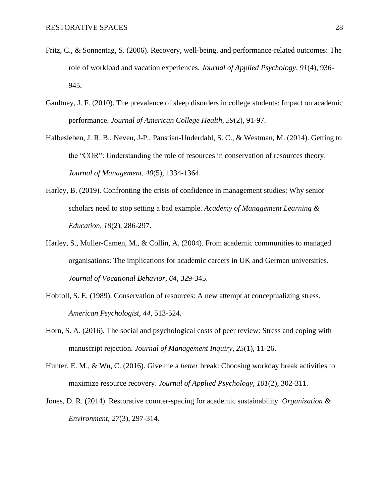- Fritz, C., & Sonnentag, S. (2006). Recovery, well-being, and performance-related outcomes: The role of workload and vacation experiences. *Journal of Applied Psychology, 91*(4), 936- 945.
- Gaultney, J. F. (2010). The prevalence of sleep disorders in college students: Impact on academic performance. *Journal of American College Health, 59*(2), 91-97.
- Halbesleben, J. R. B., Neveu, J-P., Paustian-Underdahl, S. C., & Westman, M. (2014). Getting to the "COR": Understanding the role of resources in conservation of resources theory. *Journal of Management, 40*(5), 1334-1364.
- Harley, B. (2019). Confronting the crisis of confidence in management studies: Why senior scholars need to stop setting a bad example. *Academy of Management Learning & Education, 18*(2), 286-297.
- Harley, S., Muller-Camen, M., & Collin, A. (2004). From academic communities to managed organisations: The implications for academic careers in UK and German universities. *Journal of Vocational Behavior, 64,* 329-345.
- Hobfoll, S. E. (1989). Conservation of resources: A new attempt at conceptualizing stress. *American Psychologist, 44,* 513-524.
- Horn, S. A. (2016). The social and psychological costs of peer review: Stress and coping with manuscript rejection. *Journal of Management Inquiry, 25*(1), 11-26.
- Hunter, E. M., & Wu, C. (2016). Give me a *better* break: Choosing workday break activities to maximize resource recovery. *Journal of Applied Psychology, 101*(2), 302-311.
- Jones, D. R. (2014). Restorative counter-spacing for academic sustainability. *Organization & Environment, 27*(3), 297-314.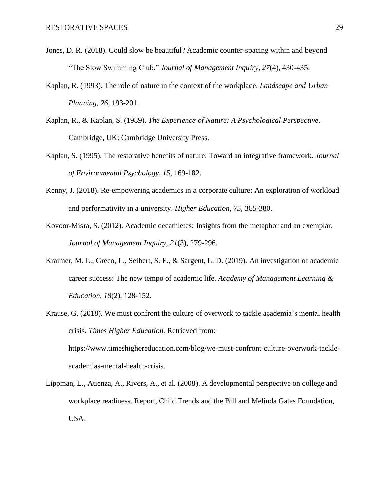- Jones, D. R. (2018). Could slow be beautiful? Academic counter-spacing within and beyond "The Slow Swimming Club." *Journal of Management Inquiry, 27*(4), 430-435.
- Kaplan, R. (1993). The role of nature in the context of the workplace. *Landscape and Urban Planning, 26*, 193-201.
- Kaplan, R., & Kaplan, S. (1989). *The Experience of Nature: A Psychological Perspective*. Cambridge, UK: Cambridge University Press.
- Kaplan, S. (1995). The restorative benefits of nature: Toward an integrative framework. *Journal of Environmental Psychology, 15,* 169-182.
- Kenny, J. (2018). Re-empowering academics in a corporate culture: An exploration of workload and performativity in a university. *Higher Education, 75,* 365-380.
- Kovoor-Misra, S. (2012). Academic decathletes: Insights from the metaphor and an exemplar. *Journal of Management Inquiry, 21*(3), 279-296.
- Kraimer, M. L., Greco, L., Seibert, S. E., & Sargent, L. D. (2019). An investigation of academic career success: The new tempo of academic life. *Academy of Management Learning & Education, 18*(2), 128-152.
- Krause, G. (2018). We must confront the culture of overwork to tackle academia's mental health crisis. *Times Higher Education.* Retrieved from: https://www.timeshighereducation.com/blog/we-must-confront-culture-overwork-tackle-

academias-mental-health-crisis.

Lippman, L., Atienza, A., Rivers, A., et al. (2008). A developmental perspective on college and workplace readiness. Report, Child Trends and the Bill and Melinda Gates Foundation, USA.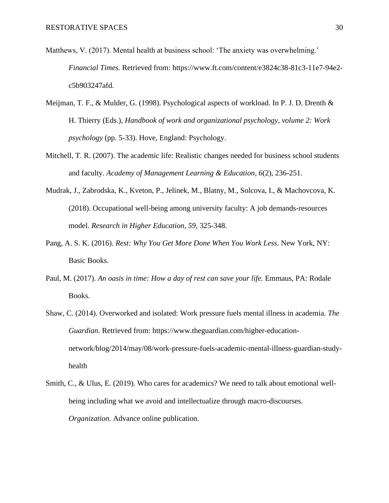- Matthews, V. (2017). Mental health at business school: 'The anxiety was overwhelming.' *Financial Times.* Retrieved from: [https://www.ft.com/content/e3824c38-81c3-11e7-94e2](https://www.ft.com/content/e3824c38-81c3-11e7-94e2-c5b903247afd) [c5b903247afd.](https://www.ft.com/content/e3824c38-81c3-11e7-94e2-c5b903247afd)
- Meijman, T. F., & Mulder, G. (1998). Psychological aspects of workload. In P. J. D. Drenth & H. Thierry (Eds.), *Handbook of work and organizational psychology, volume 2: Work psychology* (pp. 5-33). Hove, England: Psychology.
- Mitchell, T. R. (2007). The academic life: Realistic changes needed for business school students and faculty. *Academy of Management Learning & Education, 6*(2), 236-251.
- Mudrak, J., Zabrodska, K., Kveton, P., Jelinek, M., Blatny, M., Solcova, I., & Machovcova, K. (2018). Occupational well-being among university faculty: A job demands-resources model. *Research in Higher Education, 59,* 325-348.
- Pang, A. S. K. (2016). *Rest: Why You Get More Done When You Work Less*. New York, NY: Basic Books.
- Paul, M. (2017). *An oasis in time: How a day of rest can save your life.* Emmaus, PA: Rodale Books.
- Shaw, C. (2014). Overworked and isolated: Work pressure fuels mental illness in academia. *The Guardian*. Retrieved from: https://www.theguardian.com/higher-educationnetwork/blog/2014/may/08/work-pressure-fuels-academic-mental-illness-guardian-studyhealth
- Smith, C., & Ulus, E. (2019). Who cares for academics? We need to talk about emotional wellbeing including what we avoid and intellectualize through macro-discourses. *Organization*. Advance online publication.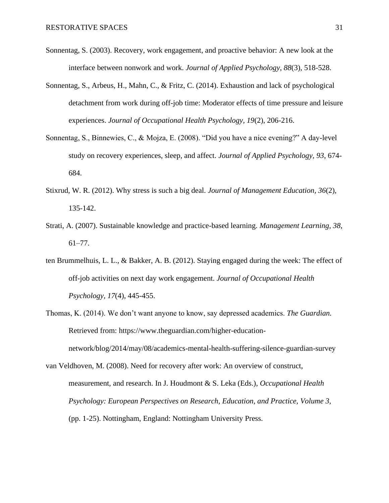- Sonnentag, S. (2003). Recovery, work engagement, and proactive behavior: A new look at the interface between nonwork and work. *Journal of Applied Psychology, 88*(3), 518-528.
- Sonnentag, S., Arbeus, H., Mahn, C., & Fritz, C. (2014). Exhaustion and lack of psychological detachment from work during off-job time: Moderator effects of time pressure and leisure experiences. *Journal of Occupational Health Psychology, 19*(2), 206-216.
- Sonnentag, S., Binnewies, C., & Mojza, E. (2008). "Did you have a nice evening?" A day-level study on recovery experiences, sleep, and affect. *Journal of Applied Psychology, 93*, 674- 684.
- Stixrud, W. R. (2012). Why stress is such a big deal. *Journal of Management Education, 36*(2), 135-142.
- Strati, A. (2007). Sustainable knowledge and practice-based learning. *Management Learning*, *38*, 61–77.
- ten Brummelhuis, L. L., & Bakker, A. B. (2012). Staying engaged during the week: The effect of off-job activities on next day work engagement. *Journal of Occupational Health Psychology, 17*(4), 445-455.
- Thomas, K. (2014). We don't want anyone to know, say depressed academics. *The Guardian.*  Retrieved from: https://www.theguardian.com/higher-educationnetwork/blog/2014/may/08/academics-mental-health-suffering-silence-guardian-survey
- van Veldhoven, M. (2008). Need for recovery after work: An overview of construct, measurement, and research. In J. Houdmont & S. Leka (Eds.), *Occupational Health Psychology: European Perspectives on Research, Education, and Practice, Volume 3,*  (pp. 1-25). Nottingham, England: Nottingham University Press.